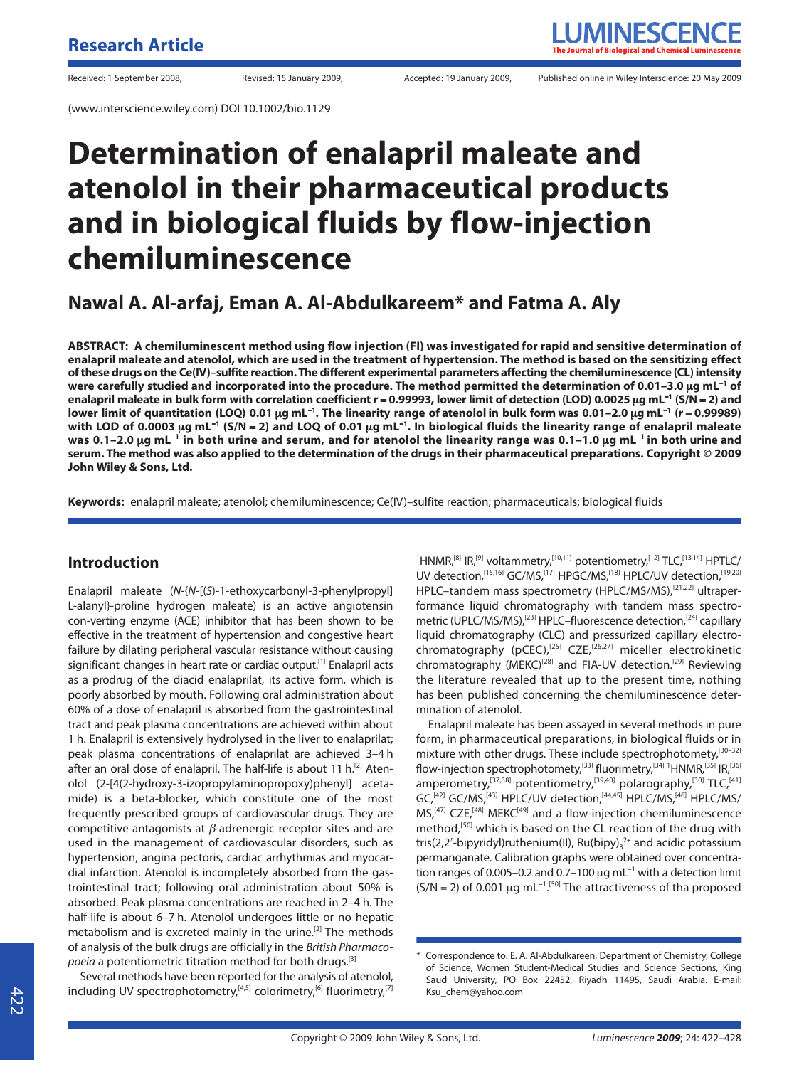(www.interscience.wiley.com) DOI 10.1002/bio.1129

# Received: 1 September 2008, The Revised: 15 January 2009, Recepted: 19 January 2009, Published online in Wiley Interscience: 20 May 2009

# **Determination of enalapril maleate and atenolol in their pharmaceutical products and in biological fluids by flow-injection chemiluminescence**

**Nawal A. Al-arfaj, Eman A. Al-Abdulkareem\* and Fatma A. Aly**

**ABSTRACT: A chemiluminescent method using flow injection (FI) was investigated for rapid and sensitive determination of enalapril maleate and atenolol, which are used in the treatment of hypertension. The method is based on the sensitizing effect of these drugs on the Ce(IV)–sulfite reaction. The different experimental parameters affecting the chemiluminescence (CL) intensity were carefully studied and incorporated into the procedure. The method permitted the determination of 0.01–3.0** μ**g mL**<sup>−</sup>**<sup>1</sup> of enalapril maleate in bulk form with correlation coefficient** *r* = **0.99993, lower limit of detection (LOD) 0.0025** μ**g mL**<sup>−</sup>**<sup>1</sup> (S/N** = **2) and lower limit of quantitation (LOQ) 0.01** μ**g mL**<sup>−</sup>**<sup>1</sup> . The linearity range of atenolol in bulk form was 0.01–2.0** μ**g mL**<sup>−</sup>**<sup>1</sup> (***r* = **0.99989) with LOD of 0.0003** μ**g mL**<sup>−</sup>**<sup>1</sup> (S/N** = **2) and LOQ of 0.01** μ**g mL**<sup>−</sup>**<sup>1</sup> . In biological fluids the linearity range of enalapril maleate was 0.1–2.0** μ**g mL**<sup>−</sup>**<sup>1</sup> in both urine and serum, and for atenolol the linearity range was 0.1–1.0** μ**g mL**<sup>−</sup>**1 in both urine and serum. The method was also applied to the determination of the drugs in their pharmaceutical preparations. Copyright © 2009 John Wiley & Sons, Ltd.**

**Keywords:** enalapril maleate; atenolol; chemiluminescence; Ce(IV)–sulfite reaction; pharmaceuticals; biological fluids

#### **Introduction**

Enalapril maleate (N-{N-[(S)-1-ethoxycarbonyl-3-phenylpropyl] L-alanyl}-proline hydrogen maleate) is an active angiotensin con-verting enzyme (ACE) inhibitor that has been shown to be effective in the treatment of hypertension and congestive heart failure by dilating peripheral vascular resistance without causing significant changes in heart rate or cardiac output.<sup>[1]</sup> Enalapril acts as a prodrug of the diacid enalaprilat, its active form, which is poorly absorbed by mouth. Following oral administration about 60% of a dose of enalapril is absorbed from the gastrointestinal tract and peak plasma concentrations are achieved within about 1 h. Enalapril is extensively hydrolysed in the liver to enalaprilat; peak plasma concentrations of enalaprilat are achieved 3–4 h after an oral dose of enalapril. The half-life is about 11 h.<sup>[2]</sup> Atenolol (2-[4(2-hydroxy-3-izopropylaminopropoxy)phenyl] acetamide) is a beta-blocker, which constitute one of the most frequently prescribed groups of cardiovascular drugs. They are competitive antagonists at  $\beta$ -adrenergic receptor sites and are used in the management of cardiovascular disorders, such as hypertension, angina pectoris, cardiac arrhythmias and myocardial infarction. Atenolol is incompletely absorbed from the gastrointestinal tract; following oral administration about 50% is absorbed. Peak plasma concentrations are reached in 2–4 h. The half-life is about 6–7 h. Atenolol undergoes little or no hepatic metabolism and is excreted mainly in the urine.[2] The methods of analysis of the bulk drugs are officially in the British Pharmacopoeia a potentiometric titration method for both drugs.<sup>[3]</sup>

Several methods have been reported for the analysis of atenolol, including UV spectrophotometry,<sup>[4,5]</sup> colorimetry,<sup>[6]</sup> fluorimetry,<sup>[7]</sup>

<sup>1</sup>HNMR,<sup>[8]</sup> IR,<sup>[9]</sup> voltammetry,<sup>[10,11]</sup> potentiometry,<sup>[12]</sup> TLC,<sup>[13,14]</sup> HPTLC/ UV detection,<sup>[15,16]</sup> GC/MS,<sup>[17]</sup> HPGC/MS,<sup>[18]</sup> HPLC/UV detection,<sup>[19,20]</sup> HPLC–tandem mass spectrometry (HPLC/MS/MS),[21,22] ultraperformance liquid chromatography with tandem mass spectrometric (UPLC/MS/MS),<sup>[23]</sup> HPLC-fluorescence detection,<sup>[24]</sup> capillary liquid chromatography (CLC) and pressurized capillary electrochromatography (pCEC),[25] CZE,[26,27] miceller electrokinetic chromatography (MEKC)<sup>[28]</sup> and FIA-UV detection.<sup>[29]</sup> Reviewing the literature revealed that up to the present time, nothing has been published concerning the chemiluminescence determination of atenolol.

Enalapril maleate has been assayed in several methods in pure form, in pharmaceutical preparations, in biological fluids or in mixture with other drugs. These include spectrophotomety.<sup>[30–32]</sup> flow-injection spectrophotomety,<sup>[33]</sup> fluorimetry,<sup>[34] 1</sup>HNMR,<sup>[35]</sup> IR,<sup>[36]</sup> amperometry,<sup>[37,38]</sup> potentiometry,<sup>[39,40]</sup> polarography,<sup>[30]</sup> TLC,<sup>[41]</sup> GC,<sup>[42]</sup> GC/MS,<sup>[43]</sup> HPLC/UV detection,<sup>[44,45]</sup> HPLC/MS,<sup>[46]</sup> HPLC/MS/ MS,<sup>[47]</sup> CZE,<sup>[48]</sup> MEKC<sup>[49]</sup> and a flow-injection chemiluminescence method,<sup>[50]</sup> which is based on the CL reaction of the drug with tris(2,2'-bipyridyl)ruthenium(II),  $Ru(bipy)_{3}^{2+}$  and acidic potassium permanganate. Calibration graphs were obtained over concentration ranges of 0.005–0.2 and 0.7–100 μg mL<sup>-1</sup> with a detection limit  $(S/N = 2)$  of 0.001 µg mL<sup>-1 [50]</sup> The attractiveness of tha proposed

<sup>\*</sup> Correspondence to: E. A. Al-Abdulkareen, Department of Chemistry, College of Science, Women Student-Medical Studies and Science Sections, King Saud University, PO Box 22452, Riyadh 11495, Saudi Arabia. E-mail: Ksu\_chem@yahoo.com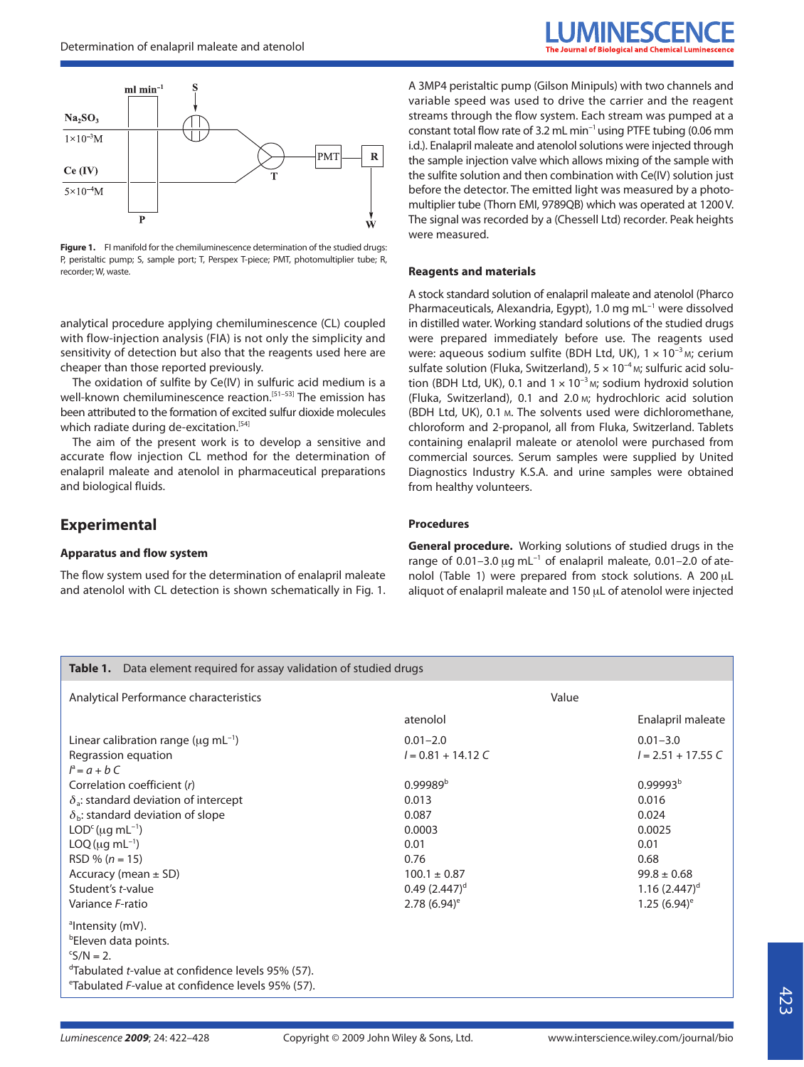

Figure 1. FI manifold for the chemiluminescence determination of the studied drugs: P, peristaltic pump; S, sample port; T, Perspex T-piece; PMT, photomultiplier tube; R, recorder; W, waste.

analytical procedure applying chemiluminescence (CL) coupled with flow-injection analysis (FIA) is not only the simplicity and sensitivity of detection but also that the reagents used here are cheaper than those reported previously.

The oxidation of sulfite by Ce(IV) in sulfuric acid medium is a well-known chemiluminescence reaction.<sup>[51-53]</sup> The emission has been attributed to the formation of excited sulfur dioxide molecules which radiate during de-excitation.<sup>[54]</sup>

The aim of the present work is to develop a sensitive and accurate flow injection CL method for the determination of enalapril maleate and atenolol in pharmaceutical preparations and biological fluids.

### **Experimental**

#### **Apparatus and flow system**

The flow system used for the determination of enalapril maleate and atenolol with CL detection is shown schematically in Fig. 1. A 3MP4 peristaltic pump (Gilson Minipuls) with two channels and variable speed was used to drive the carrier and the reagent streams through the flow system. Each stream was pumped at a constant total flow rate of 3.2 mL min<sup>−</sup>1 using PTFE tubing (0.06 mm i.d.). Enalapril maleate and atenolol solutions were injected through the sample injection valve which allows mixing of the sample with the sulfite solution and then combination with Ce(IV) solution just before the detector. The emitted light was measured by a photomultiplier tube (Thorn EMI, 9789QB) which was operated at 1200 V. The signal was recorded by a (Chessell Ltd) recorder. Peak heights were measured.

#### **Reagents and materials**

A stock standard solution of enalapril maleate and atenolol (Pharco Pharmaceuticals, Alexandria, Egypt), 1.0 mg mL<sup>-1</sup> were dissolved in distilled water. Working standard solutions of the studied drugs were prepared immediately before use. The reagents used were: aqueous sodium sulfite (BDH Ltd, UK), 1 × 10<sup>-3</sup> M; cerium sulfate solution (Fluka, Switzerland), 5 × 10<sup>-4</sup> M; sulfuric acid solution (BDH Ltd, UK), 0.1 and  $1 \times 10^{-3}$  M; sodium hydroxid solution (Fluka, Switzerland), 0.1 and 2.0 M; hydrochloric acid solution (BDH Ltd, UK), 0.1 M. The solvents used were dichloromethane, chloroform and 2-propanol, all from Fluka, Switzerland. Tablets containing enalapril maleate or atenolol were purchased from commercial sources. Serum samples were supplied by United Diagnostics Industry K.S.A. and urine samples were obtained from healthy volunteers.

#### **Procedures**

**General procedure.** Working solutions of studied drugs in the range of 0.01-3.0 μg mL<sup>-1</sup> of enalapril maleate, 0.01-2.0 of atenolol (Table 1) were prepared from stock solutions. A 200 μL aliquot of enalapril maleate and 150 μL of atenolol were injected

| Table 1. Data element required for assay validation of studied drugs  |                            |                            |  |  |  |  |
|-----------------------------------------------------------------------|----------------------------|----------------------------|--|--|--|--|
| Analytical Performance characteristics                                | Value                      |                            |  |  |  |  |
|                                                                       | atenolol                   | Enalapril maleate          |  |  |  |  |
| Linear calibration range ( $\mu$ g mL <sup>-1</sup> )                 | $0.01 - 2.0$               | $0.01 - 3.0$               |  |  |  |  |
| Regrassion equation                                                   | $l = 0.81 + 14.12 C$       | $I = 2.51 + 17.55 C$       |  |  |  |  |
| $l^a = a + bC$                                                        |                            |                            |  |  |  |  |
| Correlation coefficient (r)                                           | $0.99989^{b}$              | 0.99993 <sup>b</sup>       |  |  |  |  |
| $\delta_{\rm a}$ : standard deviation of intercept                    | 0.013                      | 0.016                      |  |  |  |  |
| $\delta_{\rm b}$ : standard deviation of slope                        | 0.087                      | 0.024                      |  |  |  |  |
| $LODc (uq mL-1)$                                                      | 0.0003                     | 0.0025                     |  |  |  |  |
| $LOQ ( \mu q \, mL^{-1})$                                             | 0.01                       | 0.01                       |  |  |  |  |
| $RSD \% (n = 15)$                                                     | 0.76                       | 0.68                       |  |  |  |  |
| Accuracy (mean $\pm$ SD)                                              | $100.1 \pm 0.87$           | $99.8 \pm 0.68$            |  |  |  |  |
| Student's t-value                                                     | $0.49(2.447)^d$            | $1.16(2.447)$ <sup>d</sup> |  |  |  |  |
| Variance F-ratio                                                      | 2.78 $(6.94)$ <sup>e</sup> | 1.25 $(6.94)$ <sup>e</sup> |  |  |  |  |
| <sup>a</sup> Intensity (mV).                                          |                            |                            |  |  |  |  |
| <sup>b</sup> Eleven data points.                                      |                            |                            |  |  |  |  |
| $\mathrm{S/N} = 2.$                                                   |                            |                            |  |  |  |  |
| <sup>d</sup> Tabulated <i>t</i> -value at confidence levels 95% (57). |                            |                            |  |  |  |  |
| <sup>e</sup> Tabulated F-value at confidence levels 95% (57).         |                            |                            |  |  |  |  |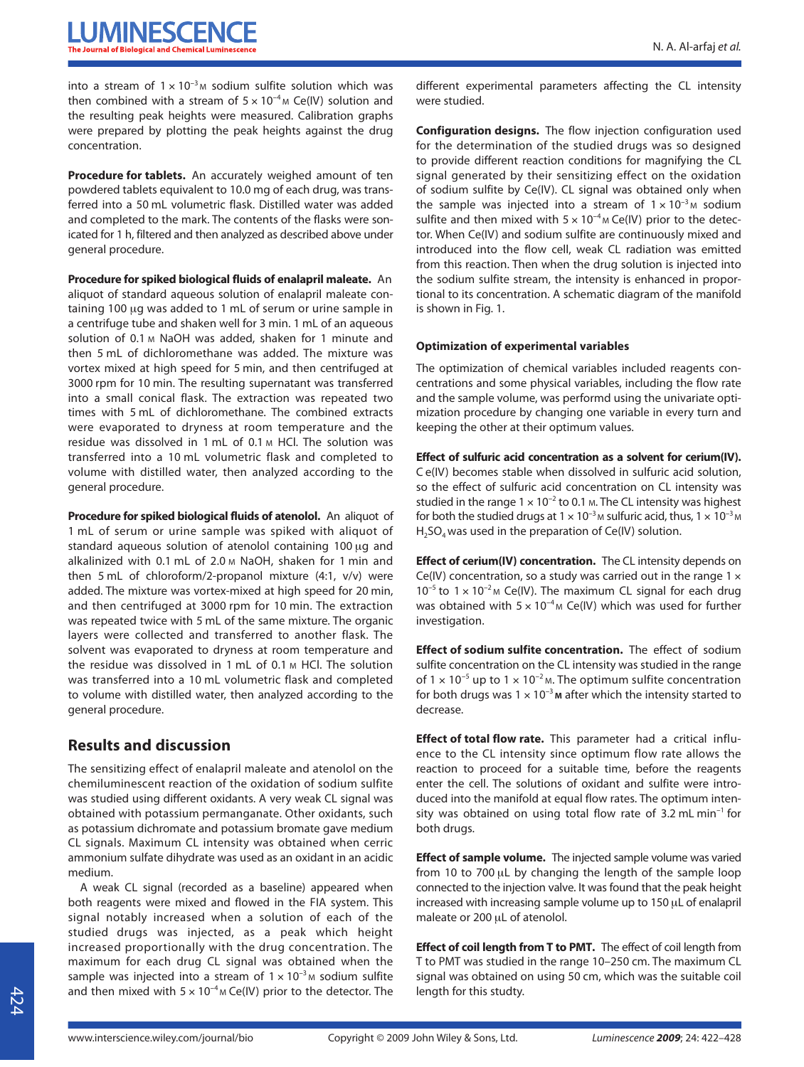into a stream of  $1 \times 10^{-3}$  M sodium sulfite solution which was then combined with a stream of  $5 \times 10^{-4}$  M Ce(IV) solution and the resulting peak heights were measured. Calibration graphs were prepared by plotting the peak heights against the drug concentration.

**Procedure for tablets.** An accurately weighed amount of ten powdered tablets equivalent to 10.0 mg of each drug, was transferred into a 50 mL volumetric flask. Distilled water was added and completed to the mark. The contents of the flasks were sonicated for 1 h, filtered and then analyzed as described above under general procedure.

**Procedure for spiked biological fluids of enalapril maleate.** An aliquot of standard aqueous solution of enalapril maleate containing 100 μg was added to 1 mL of serum or urine sample in a centrifuge tube and shaken well for 3 min. 1 mL of an aqueous solution of 0.1 M NaOH was added, shaken for 1 minute and then 5 mL of dichloromethane was added. The mixture was vortex mixed at high speed for 5 min, and then centrifuged at 3000 rpm for 10 min. The resulting supernatant was transferred into a small conical flask. The extraction was repeated two times with 5 mL of dichloromethane. The combined extracts were evaporated to dryness at room temperature and the residue was dissolved in 1 mL of 0.1 M HCl. The solution was transferred into a 10 mL volumetric flask and completed to volume with distilled water, then analyzed according to the general procedure.

**Procedure for spiked biological fluids of atenolol.** An aliquot of 1 mL of serum or urine sample was spiked with aliquot of standard aqueous solution of atenolol containing 100 μg and alkalinized with 0.1 mL of 2.0 M NaOH, shaken for 1 min and then 5 mL of chloroform/2-propanol mixture (4:1, v/v) were added. The mixture was vortex-mixed at high speed for 20 min, and then centrifuged at 3000 rpm for 10 min. The extraction was repeated twice with 5 mL of the same mixture. The organic layers were collected and transferred to another flask. The solvent was evaporated to dryness at room temperature and the residue was dissolved in 1 mL of 0.1 M HCl. The solution was transferred into a 10 mL volumetric flask and completed to volume with distilled water, then analyzed according to the general procedure.

# **Results and discussion**

The sensitizing effect of enalapril maleate and atenolol on the chemiluminescent reaction of the oxidation of sodium sulfite was studied using different oxidants. A very weak CL signal was obtained with potassium permanganate. Other oxidants, such as potassium dichromate and potassium bromate gave medium CL signals. Maximum CL intensity was obtained when cerric ammonium sulfate dihydrate was used as an oxidant in an acidic medium.

A weak CL signal (recorded as a baseline) appeared when both reagents were mixed and flowed in the FIA system. This signal notably increased when a solution of each of the studied drugs was injected, as a peak which height increased proportionally with the drug concentration. The maximum for each drug CL signal was obtained when the sample was injected into a stream of  $1 \times 10^{-3}$  M sodium sulfite and then mixed with  $5 \times 10^{-4}$  M Ce(IV) prior to the detector. The

different experimental parameters affecting the CL intensity were studied.

**Configuration designs.** The flow injection configuration used for the determination of the studied drugs was so designed to provide different reaction conditions for magnifying the CL signal generated by their sensitizing effect on the oxidation of sodium sulfite by Ce(IV). CL signal was obtained only when the sample was injected into a stream of  $1 \times 10^{-3}$  M sodium sulfite and then mixed with  $5 \times 10^{-4}$  M Ce(IV) prior to the detector. When Ce(IV) and sodium sulfite are continuously mixed and introduced into the flow cell, weak CL radiation was emitted from this reaction. Then when the drug solution is injected into the sodium sulfite stream, the intensity is enhanced in proportional to its concentration. A schematic diagram of the manifold is shown in Fig. 1.

#### **Optimization of experimental variables**

The optimization of chemical variables included reagents concentrations and some physical variables, including the flow rate and the sample volume, was performd using the univariate optimization procedure by changing one variable in every turn and keeping the other at their optimum values.

**Effect of sulfuric acid concentration as a solvent for cerium(IV).** C e(IV) becomes stable when dissolved in sulfuric acid solution, so the effect of sulfuric acid concentration on CL intensity was studied in the range  $1 \times 10^{-2}$  to 0.1 m. The CL intensity was highest for both the studied drugs at  $1 \times 10^{-3}$  M sulfuric acid, thus,  $1 \times 10^{-3}$  M  $H<sub>2</sub>SO<sub>4</sub>$  was used in the preparation of Ce(IV) solution.

**Effect of cerium(IV) concentration.** The CL intensity depends on Ce(IV) concentration, so a study was carried out in the range  $1 \times$  $10^{-5}$  to  $1 \times 10^{-2}$ M Ce(IV). The maximum CL signal for each drug was obtained with  $5 \times 10^{-4}$  M Ce(IV) which was used for further investigation.

**Effect of sodium sulfite concentration.** The effect of sodium sulfite concentration on the CL intensity was studied in the range of  $1 \times 10^{-5}$  up to  $1 \times 10^{-2}$  M. The optimum sulfite concentration for both drugs was 1 × 10<sup>−</sup>3 **M** after which the intensity started to decrease.

**Effect of total flow rate.** This parameter had a critical influence to the CL intensity since optimum flow rate allows the reaction to proceed for a suitable time, before the reagents enter the cell. The solutions of oxidant and sulfite were introduced into the manifold at equal flow rates. The optimum intensity was obtained on using total flow rate of 3.2 mL min<sup>−</sup>1 for both drugs.

**Effect of sample volume.** The injected sample volume was varied from 10 to 700 μL by changing the length of the sample loop connected to the injection valve. It was found that the peak height increased with increasing sample volume up to 150 μL of enalapril maleate or 200 μL of atenolol.

**Effect of coil length from T to PMT.** The effect of coil length from T to PMT was studied in the range 10–250 cm. The maximum CL signal was obtained on using 50 cm, which was the suitable coil length for this studty.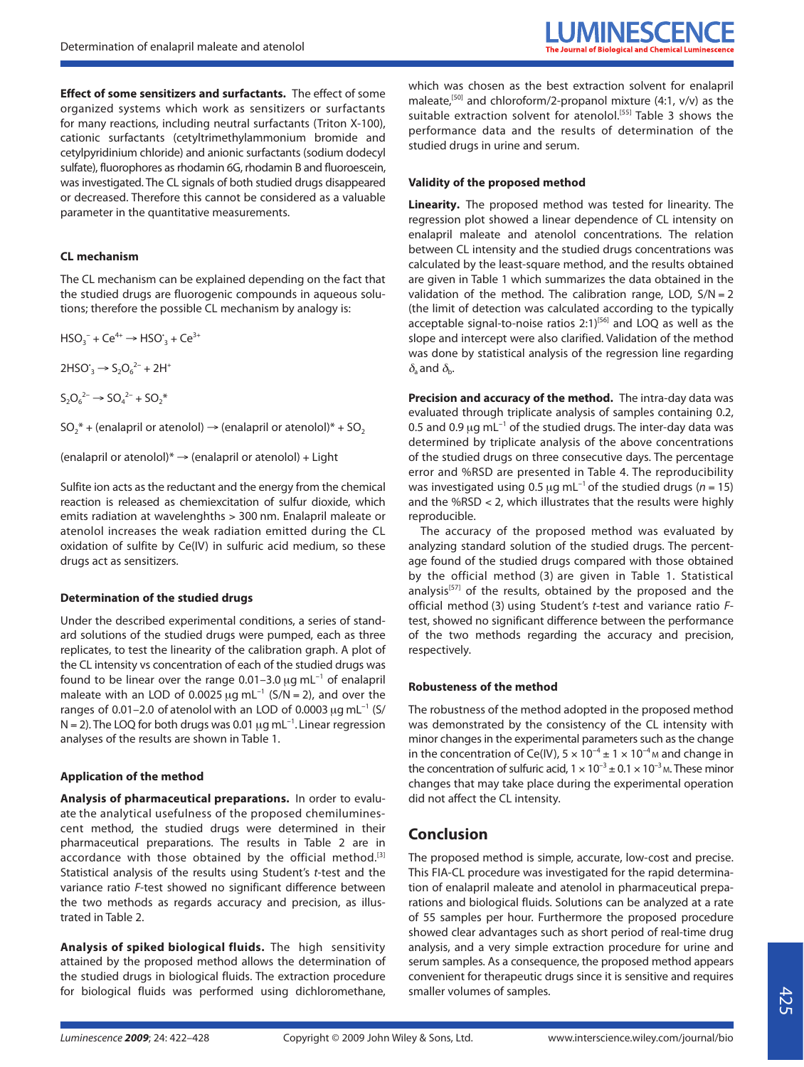**Effect of some sensitizers and surfactants.** The effect of some organized systems which work as sensitizers or surfactants for many reactions, including neutral surfactants (Triton X-100), cationic surfactants (cetyltrimethylammonium bromide and cetylpyridinium chloride) and anionic surfactants (sodium dodecyl sulfate), fluorophores as rhodamin 6G, rhodamin B and fluoroescein, was investigated. The CL signals of both studied drugs disappeared or decreased. Therefore this cannot be considered as a valuable parameter in the quantitative measurements.

#### **CL mechanism**

The CL mechanism can be explained depending on the fact that the studied drugs are fluorogenic compounds in aqueous solutions; therefore the possible CL mechanism by analogy is:

 $HSO_3^- + Ce^{4+} \rightarrow HSO_3^+ + Ce^{3+}$ 

 $2HSO<sub>3</sub> \rightarrow S<sub>2</sub>O<sub>6</sub><sup>2-</sup> + 2H<sup>+</sup>$ 

 $S_2O_6^{2-} \rightarrow SO_4^{2-} + SO_2^*$ 

 $SO_2^*$  + (enalapril or atenolol)  $\rightarrow$  (enalapril or atenolol)\* + SO<sub>2</sub>

(enalapril or atenolol) $* \rightarrow$  (enalapril or atenolol) + Light

Sulfite ion acts as the reductant and the energy from the chemical reaction is released as chemiexcitation of sulfur dioxide, which emits radiation at wavelenghths > 300 nm. Enalapril maleate or atenolol increases the weak radiation emitted during the CL oxidation of sulfite by Ce(IV) in sulfuric acid medium, so these drugs act as sensitizers.

#### **Determination of the studied drugs**

Under the described experimental conditions, a series of standard solutions of the studied drugs were pumped, each as three replicates, to test the linearity of the calibration graph. A plot of the CL intensity vs concentration of each of the studied drugs was found to be linear over the range 0.01–3.0  $\mu$ g mL<sup>-1</sup> of enalapril maleate with an LOD of 0.0025  $\mu$ g mL<sup>-1</sup> (S/N = 2), and over the ranges of 0.01–2.0 of atenolol with an LOD of 0.0003  $\mu$ g mL<sup>-1</sup> (S/ N = 2). The LOQ for both drugs was 0.01 μg mL<sup>-1</sup>. Linear regression analyses of the results are shown in Table 1.

#### **Application of the method**

**Analysis of pharmaceutical preparations.** In order to evaluate the analytical usefulness of the proposed chemiluminescent method, the studied drugs were determined in their pharmaceutical preparations. The results in Table 2 are in accordance with those obtained by the official method.<sup>[3]</sup> Statistical analysis of the results using Student's t-test and the variance ratio F-test showed no significant difference between the two methods as regards accuracy and precision, as illustrated in Table 2.

**Analysis of spiked biological fluids.** The high sensitivity attained by the proposed method allows the determination of the studied drugs in biological fluids. The extraction procedure for biological fluids was performed using dichloromethane,

which was chosen as the best extraction solvent for enalapril maleate,<sup>[50]</sup> and chloroform/2-propanol mixture  $(4:1, v/v)$  as the suitable extraction solvent for atenolol.<sup>[55]</sup> Table 3 shows the performance data and the results of determination of the studied drugs in urine and serum.

#### **Validity of the proposed method**

**Linearity.** The proposed method was tested for linearity. The regression plot showed a linear dependence of CL intensity on enalapril maleate and atenolol concentrations. The relation between CL intensity and the studied drugs concentrations was calculated by the least-square method, and the results obtained are given in Table 1 which summarizes the data obtained in the validation of the method. The calibration range, LOD,  $S/N = 2$ (the limit of detection was calculated according to the typically acceptable signal-to-noise ratios  $2:1$ <sup>[56]</sup> and LOQ as well as the slope and intercept were also clarified. Validation of the method was done by statistical analysis of the regression line regarding  $\delta_a$  and  $\delta_b$ .

**Precision and accuracy of the method.** The intra-day data was evaluated through triplicate analysis of samples containing 0.2, 0.5 and 0.9 μg mL<sup>-1</sup> of the studied drugs. The inter-day data was determined by triplicate analysis of the above concentrations of the studied drugs on three consecutive days. The percentage error and %RSD are presented in Table 4. The reproducibility was investigated using 0.5  $\mu$ g mL<sup>-1</sup> of the studied drugs (n = 15) and the %RSD < 2, which illustrates that the results were highly reproducible.

The accuracy of the proposed method was evaluated by analyzing standard solution of the studied drugs. The percentage found of the studied drugs compared with those obtained by the official method (3) are given in Table 1. Statistical analysis<sup>[57]</sup> of the results, obtained by the proposed and the official method (3) using Student's t-test and variance ratio Ftest, showed no significant difference between the performance of the two methods regarding the accuracy and precision, respectively.

#### **Robusteness of the method**

The robustness of the method adopted in the proposed method was demonstrated by the consistency of the CL intensity with minor changes in the experimental parameters such as the change in the concentration of Ce(IV),  $5 \times 10^{-4} \pm 1 \times 10^{-4}$  M and change in the concentration of sulfuric acid,  $1 \times 10^{-3} \pm 0.1 \times 10^{-3}$  M. These minor changes that may take place during the experimental operation did not affect the CL intensity.

## **Conclusion**

The proposed method is simple, accurate, low-cost and precise. This FIA-CL procedure was investigated for the rapid determination of enalapril maleate and atenolol in pharmaceutical preparations and biological fluids. Solutions can be analyzed at a rate of 55 samples per hour. Furthermore the proposed procedure showed clear advantages such as short period of real-time drug analysis, and a very simple extraction procedure for urine and serum samples. As a consequence, the proposed method appears convenient for therapeutic drugs since it is sensitive and requires smaller volumes of samples.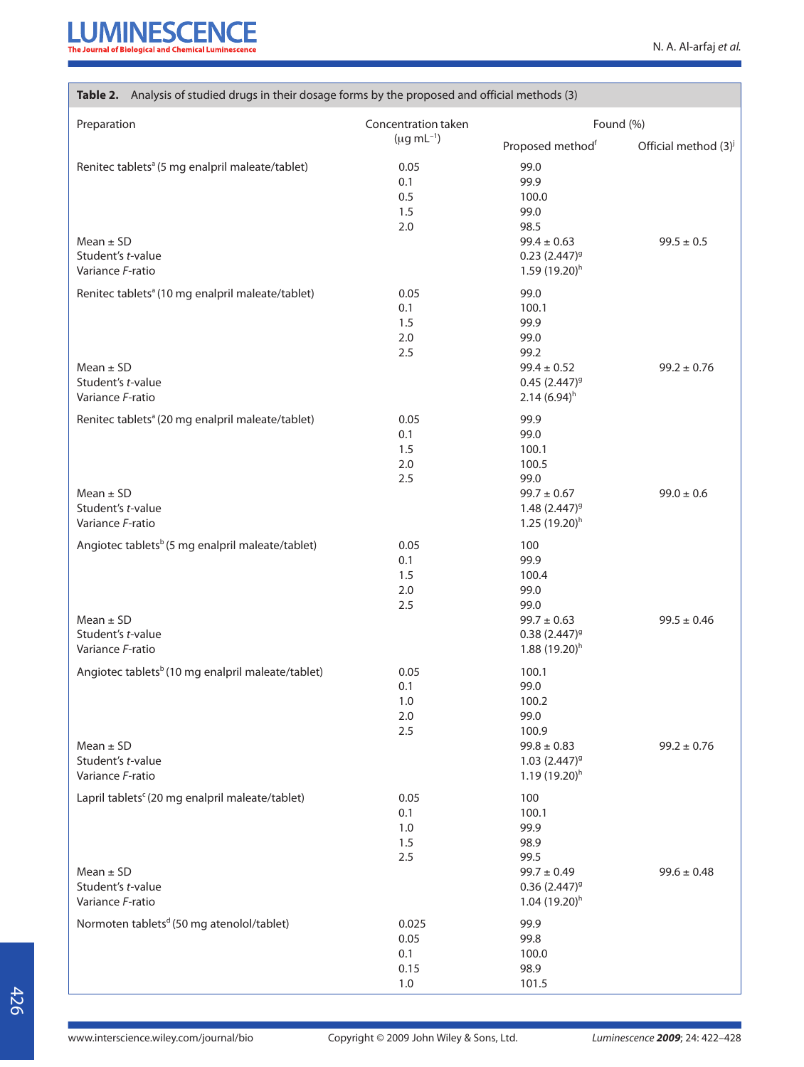| Table 2. Analysis of studied drugs in their dosage forms by the proposed and official methods (3)                       |                                         |                                                                                                              |                                  |  |  |
|-------------------------------------------------------------------------------------------------------------------------|-----------------------------------------|--------------------------------------------------------------------------------------------------------------|----------------------------------|--|--|
| Preparation                                                                                                             | Concentration taken                     | Found (%)                                                                                                    |                                  |  |  |
|                                                                                                                         | $(\mu g \, mL^{-1})$                    | Proposed method <sup>f</sup>                                                                                 | Official method (3) <sup>j</sup> |  |  |
| Renitec tablets <sup>a</sup> (5 mg enalpril maleate/tablet)<br>$Mean \pm SD$<br>Student's t-value<br>Variance F-ratio   | 0.05<br>0.1<br>0.5<br>1.5<br>2.0        | 99.0<br>99.9<br>100.0<br>99.0<br>98.5<br>$99.4 \pm 0.63$<br>$0.23$ $(2.447)^9$<br>$1.59(19.20)$ <sup>h</sup> | $99.5 \pm 0.5$                   |  |  |
| Renitec tablets <sup>a</sup> (10 mg enalpril maleate/tablet)<br>$Mean \pm SD$<br>Student's t-value                      | 0.05<br>0.1<br>1.5<br>2.0<br>2.5        | 99.0<br>100.1<br>99.9<br>99.0<br>99.2<br>$99.4 \pm 0.52$<br>$0.45(2.447)^9$                                  | $99.2 \pm 0.76$                  |  |  |
| Variance F-ratio                                                                                                        |                                         | 2.14(6.94)h                                                                                                  |                                  |  |  |
| Renitec tablets <sup>a</sup> (20 mg enalpril maleate/tablet)<br>$Mean \pm SD$<br>Student's t-value<br>Variance F-ratio  | 0.05<br>0.1<br>1.5<br>2.0<br>2.5        | 99.9<br>99.0<br>100.1<br>100.5<br>99.0<br>$99.7 \pm 0.67$<br>$1.48(2.447)^{9}$<br>$1.25(19.20)^h$            | $99.0 \pm 0.6$                   |  |  |
| Angiotec tablets <sup>b</sup> (5 mg enalpril maleate/tablet)<br>$Mean \pm SD$<br>Student's t-value<br>Variance F-ratio  | 0.05<br>0.1<br>1.5<br>2.0<br>2.5        | 100<br>99.9<br>100.4<br>99.0<br>99.0<br>$99.7 \pm 0.63$<br>$0.38(2.447)^9$<br>$1.88(19.20)^h$                | $99.5 \pm 0.46$                  |  |  |
| Angiotec tablets <sup>b</sup> (10 mg enalpril maleate/tablet)<br>$Mean \pm SD$<br>Student's t-value<br>Variance F-ratio | 0.05<br>0.1<br>1.0<br>2.0<br>2.5        | 100.1<br>99.0<br>100.2<br>99.0<br>100.9<br>$99.8 \pm 0.83$<br>$1.03(2.447)^9$<br>$1.19(19.20)$ <sup>h</sup>  | $99.2 \pm 0.76$                  |  |  |
| Lapril tablets <sup>c</sup> (20 mg enalpril maleate/tablet)                                                             | 0.05<br>0.1<br>1.0<br>1.5<br>2.5        | 100<br>100.1<br>99.9<br>98.9<br>99.5                                                                         |                                  |  |  |
| $Mean \pm SD$<br>Student's t-value<br>Variance F-ratio                                                                  |                                         | $99.7 \pm 0.49$<br>$0.36(2.447)^9$<br>$1.04(19.20)^h$                                                        | $99.6 \pm 0.48$                  |  |  |
| Normoten tablets <sup>d</sup> (50 mg atenolol/tablet)                                                                   | 0.025<br>0.05<br>0.1<br>0.15<br>$1.0\,$ | 99.9<br>99.8<br>100.0<br>98.9<br>101.5                                                                       |                                  |  |  |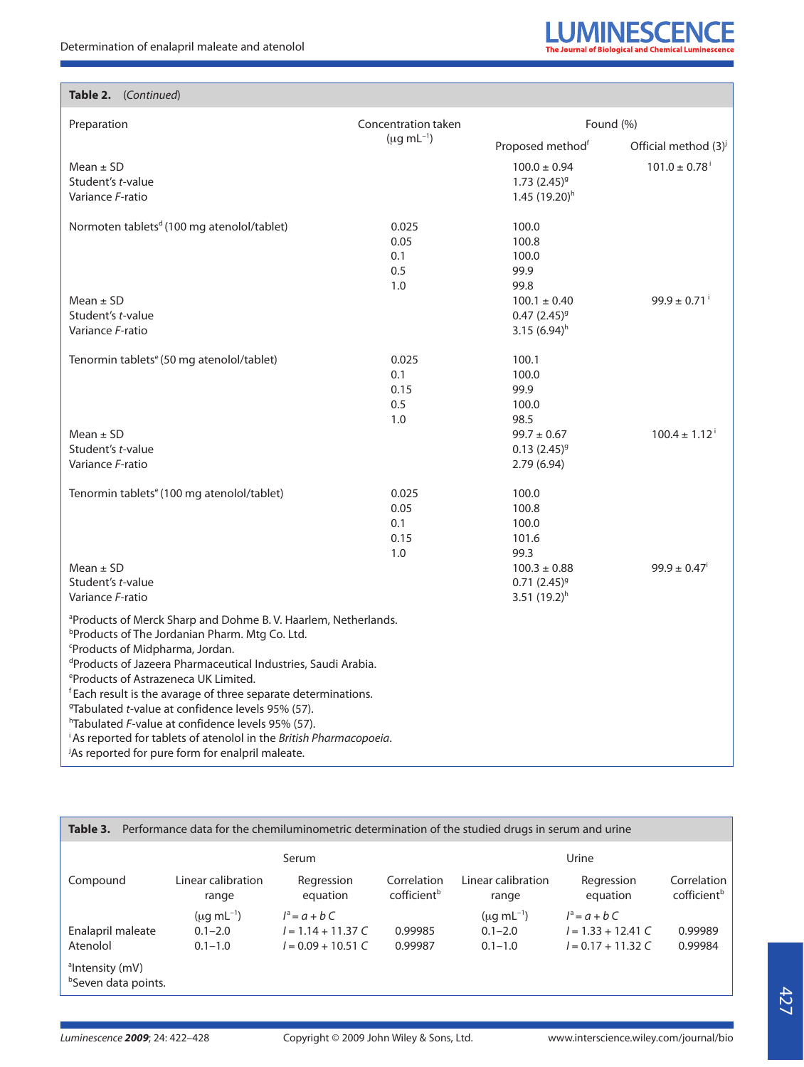

| Preparation                                                                                                                                                                                                                                                                                                                                                                                                                                                                                                                                                                                                                                                            | Concentration taken                 | Found (%)                                                         |                               |  |  |
|------------------------------------------------------------------------------------------------------------------------------------------------------------------------------------------------------------------------------------------------------------------------------------------------------------------------------------------------------------------------------------------------------------------------------------------------------------------------------------------------------------------------------------------------------------------------------------------------------------------------------------------------------------------------|-------------------------------------|-------------------------------------------------------------------|-------------------------------|--|--|
|                                                                                                                                                                                                                                                                                                                                                                                                                                                                                                                                                                                                                                                                        | $(\mu g \, mL^{-1})$                | Proposed methodf                                                  | Official method $(3)^{j}$     |  |  |
| Mean $\pm$ SD<br>Student's t-value<br>Variance F-ratio                                                                                                                                                                                                                                                                                                                                                                                                                                                                                                                                                                                                                 |                                     | $100.0 \pm 0.94$<br>$1.73(2.45)^{9}$<br>1.45 (19.20) <sup>h</sup> | $101.0 \pm 0.78$ <sup>i</sup> |  |  |
| Normoten tablets <sup>d</sup> (100 mg atenolol/tablet)                                                                                                                                                                                                                                                                                                                                                                                                                                                                                                                                                                                                                 | 0.025<br>0.05<br>0.1<br>0.5<br>1.0  | 100.0<br>100.8<br>100.0<br>99.9<br>99.8                           |                               |  |  |
| $Mean \pm SD$<br>Student's t-value<br>Variance F-ratio                                                                                                                                                                                                                                                                                                                                                                                                                                                                                                                                                                                                                 |                                     | $100.1 \pm 0.40$<br>$0.47(2.45)^9$<br>3.15 $(6.94)^h$             | $99.9 \pm 0.71$ <sup>i</sup>  |  |  |
| Tenormin tablets <sup>e</sup> (50 mg atenolol/tablet)                                                                                                                                                                                                                                                                                                                                                                                                                                                                                                                                                                                                                  | 0.025<br>0.1<br>0.15<br>0.5<br>1.0  | 100.1<br>100.0<br>99.9<br>100.0<br>98.5                           |                               |  |  |
| $Mean \pm SD$<br>Student's t-value<br>Variance F-ratio                                                                                                                                                                                                                                                                                                                                                                                                                                                                                                                                                                                                                 |                                     | $99.7 \pm 0.67$<br>$0.13(2.45)^{9}$<br>2.79(6.94)                 | $100.4 \pm 1.12^{\circ}$      |  |  |
| Tenormin tablets <sup>e</sup> (100 mg atenolol/tablet)                                                                                                                                                                                                                                                                                                                                                                                                                                                                                                                                                                                                                 | 0.025<br>0.05<br>0.1<br>0.15<br>1.0 | 100.0<br>100.8<br>100.0<br>101.6<br>99.3                          |                               |  |  |
| Mean $\pm$ SD<br>Student's t-value<br>Variance F-ratio                                                                                                                                                                                                                                                                                                                                                                                                                                                                                                                                                                                                                 |                                     | $100.3\pm0.88$<br>$0.71(2.45)^9$<br>3.51 $(19.2)^h$               | $99.9 \pm 0.47$ <sup>i</sup>  |  |  |
| <sup>a</sup> Products of Merck Sharp and Dohme B.V. Haarlem, Netherlands.<br><sup>b</sup> Products of The Jordanian Pharm. Mtg Co. Ltd.<br><sup>c</sup> Products of Midpharma, Jordan.<br><sup>d</sup> Products of Jazeera Pharmaceutical Industries, Saudi Arabia.<br><sup>e</sup> Products of Astrazeneca UK Limited.<br><sup>f</sup> Each result is the avarage of three separate determinations.<br><sup>9</sup> Tabulated <i>t</i> -value at confidence levels 95% (57).<br><sup>h</sup> Tabulated F-value at confidence levels 95% (57).<br>As reported for tablets of atenolol in the British Pharmacopoeia.<br>As reported for pure form for enalpril maleate. |                                     |                                                                   |                               |  |  |

**Table 3.** Performance data for the chemiluminometric determination of the studied drugs in serum and urine

|                                                                |                             | Serum                  |                                        | Urine                       |                        |                                        |  |  |
|----------------------------------------------------------------|-----------------------------|------------------------|----------------------------------------|-----------------------------|------------------------|----------------------------------------|--|--|
| Compound                                                       | Linear calibration<br>range | Regression<br>equation | Correlation<br>cofficient <sup>b</sup> | Linear calibration<br>range | Regression<br>equation | Correlation<br>cofficient <sup>b</sup> |  |  |
|                                                                | $(\mu q \, \text{mL}^{-1})$ | $l^a = a + bC$         |                                        | $(\mu q \, mL^{-1})$        | $l^a = a + bC$         |                                        |  |  |
| Enalapril maleate                                              | $0.1 - 2.0$                 | $l = 1.14 + 11.37 C$   | 0.99985                                | $0.1 - 2.0$                 | $l = 1.33 + 12.41 C$   | 0.99989                                |  |  |
| Atenolol                                                       | $0.1 - 1.0$                 | $l = 0.09 + 10.51 C$   | 0.99987                                | $0.1 - 1.0$                 | $l = 0.17 + 11.32 C$   | 0.99984                                |  |  |
| <sup>a</sup> Intensity (mV)<br><sup>b</sup> Seven data points. |                             |                        |                                        |                             |                        |                                        |  |  |